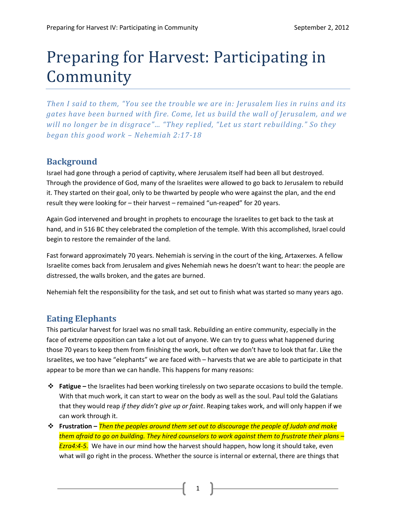# Preparing for Harvest: Participating in Community

*Then I said to them, "You see the trouble we are in: Jerusalem lies in ruins and its gates have been burned with fire. Come, let us build the wall of Jerusalem, and we will no longer be in disgrace"… "They replied, "Let us start rebuilding." So they began this good work – Nehemiah 2:17-18*

### **Background**

Israel had gone through a period of captivity, where Jerusalem itself had been all but destroyed. Through the providence of God, many of the Israelites were allowed to go back to Jerusalem to rebuild it. They started on their goal, only to be thwarted by people who were against the plan, and the end result they were looking for – their harvest – remained "un-reaped" for 20 years.

Again God intervened and brought in prophets to encourage the Israelites to get back to the task at hand, and in 516 BC they celebrated the completion of the temple. With this accomplished, Israel could begin to restore the remainder of the land.

Fast forward approximately 70 years. Nehemiah is serving in the court of the king, Artaxerxes. A fellow Israelite comes back from Jerusalem and gives Nehemiah news he doesn't want to hear: the people are distressed, the walls broken, and the gates are burned.

Nehemiah felt the responsibility for the task, and set out to finish what was started so many years ago.

## **Eating Elephants**

This particular harvest for Israel was no small task. Rebuilding an entire community, especially in the face of extreme opposition can take a lot out of anyone. We can try to guess what happened during those 70 years to keep them from finishing the work, but often we don't have to look that far. Like the Israelites, we too have "elephants" we are faced with – harvests that we are able to participate in that appear to be more than we can handle. This happens for many reasons:

- **Fatigue –** the Israelites had been working tirelessly on two separate occasions to build the temple. With that much work, it can start to wear on the body as well as the soul. Paul told the Galatians that they would reap *if they didn't give up or faint*. Reaping takes work, and will only happen if we can work through it.
- **Frustration –** *Then the peoples around them set out to discourage the people of Judah and make them afraid to go on building. They hired counselors to work against them to frustrate their plans – Ezra4:4-5.* We have in our mind how the harvest should happen, how long it should take, even what will go right in the process. Whether the source is internal or external, there are things that

1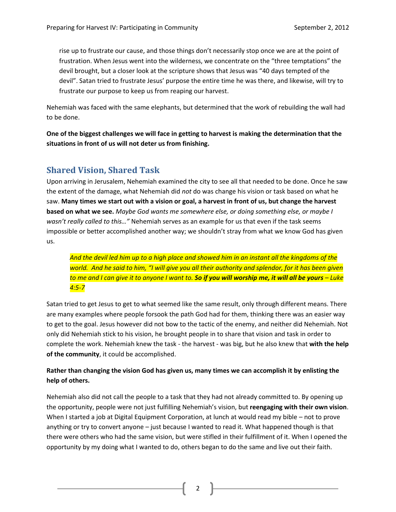rise up to frustrate our cause, and those things don't necessarily stop once we are at the point of frustration. When Jesus went into the wilderness, we concentrate on the "three temptations" the devil brought, but a closer look at the scripture shows that Jesus was "40 days tempted of the devil". Satan tried to frustrate Jesus' purpose the entire time he was there, and likewise, will try to frustrate our purpose to keep us from reaping our harvest.

Nehemiah was faced with the same elephants, but determined that the work of rebuilding the wall had to be done.

**One of the biggest challenges we will face in getting to harvest is making the determination that the situations in front of us will not deter us from finishing.** 

### **Shared Vision, Shared Task**

Upon arriving in Jerusalem, Nehemiah examined the city to see all that needed to be done. Once he saw the extent of the damage, what Nehemiah did *not* do was change his vision or task based on what he saw. **Many times we start out with a vision or goal, a harvest in front of us, but change the harvest based on what we see.** *Maybe God wants me somewhere else, or doing something else, or maybe I wasn't really called to this…"* Nehemiah serves as an example for us that even if the task seems impossible or better accomplished another way; we shouldn't stray from what we know God has given us.

*And the devil led him up to a high place and showed him in an instant all the kingdoms of the world. And he said to him, "I will give you all their authority and splendor, for it has been given to me and I can give it to anyone I want to. So if you will worship me, it will all be yours – Luke 4:5-7*

Satan tried to get Jesus to get to what seemed like the same result, only through different means. There are many examples where people forsook the path God had for them, thinking there was an easier way to get to the goal. Jesus however did not bow to the tactic of the enemy, and neither did Nehemiah. Not only did Nehemiah stick to his vision, he brought people in to share that vision and task in order to complete the work. Nehemiah knew the task - the harvest - was big, but he also knew that **with the help of the community**, it could be accomplished.

#### **Rather than changing the vision God has given us, many times we can accomplish it by enlisting the help of others.**

Nehemiah also did not call the people to a task that they had not already committed to. By opening up the opportunity, people were not just fulfilling Nehemiah's vision, but **reengaging with their own vision**. When I started a job at Digital Equipment Corporation, at lunch at would read my bible – not to prove anything or try to convert anyone – just because I wanted to read it. What happened though is that there were others who had the same vision, but were stifled in their fulfillment of it. When I opened the opportunity by my doing what I wanted to do, others began to do the same and live out their faith.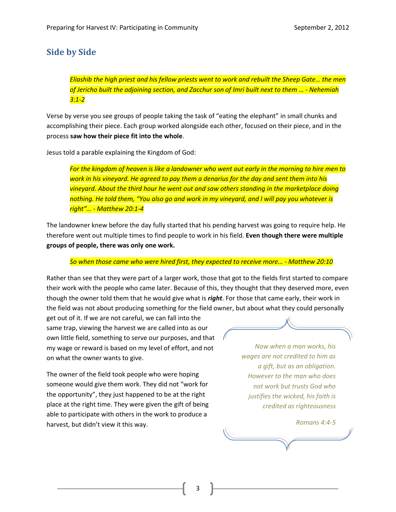## **Side by Side**

*Eliashib the high priest and his fellow priests went to work and rebuilt the Sheep Gate… the men of Jericho built the adjoining section, and Zacchur son of Imri built next to them … - Nehemiah 3:1-2*

Verse by verse you see groups of people taking the task of "eating the elephant" in small chunks and accomplishing their piece. Each group worked alongside each other, focused on their piece, and in the process **saw how their piece fit into the whole**.

Jesus told a parable explaining the Kingdom of God:

*For the kingdom of heaven is like a landowner who went out early in the morning to hire men to work in his vineyard. He agreed to pay them a denarius for the day and sent them into his vineyard. About the third hour he went out and saw others standing in the marketplace doing nothing. He told them, "You also go and work in my vineyard, and I will pay you whatever is right"… - Matthew 20:1-4*

The landowner knew before the day fully started that his pending harvest was going to require help. He therefore went out multiple times to find people to work in his field. **Even though there were multiple groups of people, there was only one work.** 

#### *So when those came who were hired first, they expected to receive more… - Matthew 20:10*

Rather than see that they were part of a larger work, those that got to the fields first started to compare their work with the people who came later. Because of this, they thought that they deserved more, even though the owner told them that he would give what is *right*. For those that came early, their work in the field was not about producing something for the field owner, but about what they could personally

get out of it. If we are not careful, we can fall into the same trap, viewing the harvest we are called into as our own little field, something to serve our purposes, and that my wage or reward is based on my level of effort, and not on what the owner wants to give.

The owner of the field took people who were hoping someone would give them work. They did not "work for the opportunity", they just happened to be at the right place at the right time. They were given the gift of being able to participate with others in the work to produce a harvest, but didn't view it this way.

*Now when a man works, his wages are not credited to him as a gift, but as an obligation. However to the man who does not work but trusts God who justifies the wicked, his faith is credited as righteousness*

*Romans 4:4-5*

3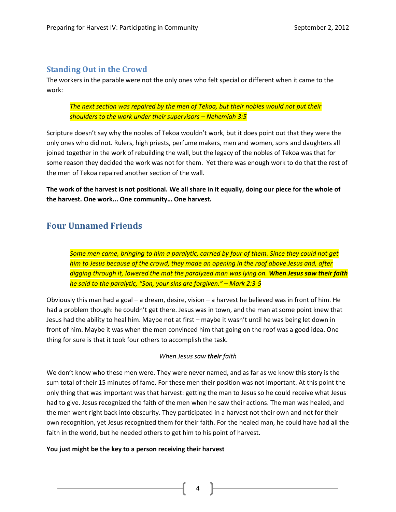#### **Standing Out in the Crowd**

The workers in the parable were not the only ones who felt special or different when it came to the work:

*The next section was repaired by the men of Tekoa, but their nobles would not put their shoulders to the work under their supervisors – Nehemiah 3:5*

Scripture doesn't say why the nobles of Tekoa wouldn't work, but it does point out that they were the only ones who did not. Rulers, high priests, perfume makers, men and women, sons and daughters all joined together in the work of rebuilding the wall, but the legacy of the nobles of Tekoa was that for some reason they decided the work was not for them. Yet there was enough work to do that the rest of the men of Tekoa repaired another section of the wall.

**The work of the harvest is not positional. We all share in it equally, doing our piece for the whole of the harvest. One work... One community… One harvest.**

## **Four Unnamed Friends**

*Some men came, bringing to him a paralytic, carried by four of them. Since they could not get him to Jesus because of the crowd, they made an opening in the roof above Jesus and, after digging through it, lowered the mat the paralyzed man was lying on. When Jesus saw their faith he said to the paralytic, "Son, your sins are forgiven." – Mark 2:3-5*

Obviously this man had a goal – a dream, desire, vision – a harvest he believed was in front of him. He had a problem though: he couldn't get there. Jesus was in town, and the man at some point knew that Jesus had the ability to heal him. Maybe not at first – maybe it wasn't until he was being let down in front of him. Maybe it was when the men convinced him that going on the roof was a good idea. One thing for sure is that it took four others to accomplish the task.

#### *When Jesus saw their faith*

We don't know who these men were. They were never named, and as far as we know this story is the sum total of their 15 minutes of fame. For these men their position was not important. At this point the only thing that was important was that harvest: getting the man to Jesus so he could receive what Jesus had to give. Jesus recognized the faith of the men when he saw their actions. The man was healed, and the men went right back into obscurity. They participated in a harvest not their own and not for their own recognition, yet Jesus recognized them for their faith. For the healed man, he could have had all the faith in the world, but he needed others to get him to his point of harvest.

#### **You just might be the key to a person receiving their harvest**

4